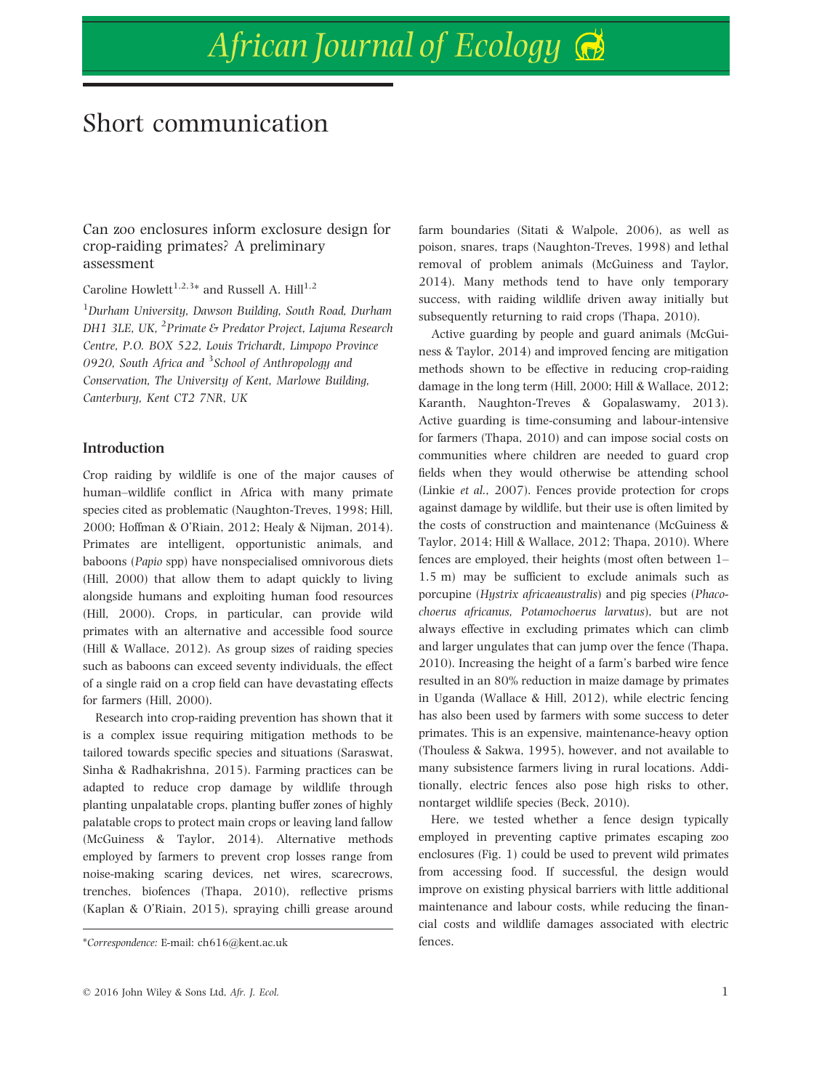# African Journal of Ecology

## Short communication

Can zoo enclosures inform exclosure design for crop-raiding primates? A preliminary assessment

Caroline Howlett<sup>1,2,3\*</sup> and Russell A. Hill<sup>1,2</sup>

<sup>1</sup>Durham University, Dawson Building, South Road, Durham DH1 3LE, UK, <sup>2</sup>Primate & Predator Project, Lajuma Research Centre, P.O. BOX 522, Louis Trichardt, Limpopo Province 0920, South Africa and <sup>3</sup>School of Anthropology and Conservation, The University of Kent, Marlowe Building, Canterbury, Kent CT2 7NR, UK

#### Introduction

Crop raiding by wildlife is one of the major causes of human–wildlife conflict in Africa with many primate species cited as problematic (Naughton-Treves, 1998; Hill, 2000; Hoffman & O'Riain, 2012; Healy & Nijman, 2014). Primates are intelligent, opportunistic animals, and baboons (Papio spp) have nonspecialised omnivorous diets (Hill, 2000) that allow them to adapt quickly to living alongside humans and exploiting human food resources (Hill, 2000). Crops, in particular, can provide wild primates with an alternative and accessible food source (Hill & Wallace, 2012). As group sizes of raiding species such as baboons can exceed seventy individuals, the effect of a single raid on a crop field can have devastating effects for farmers (Hill, 2000).

Research into crop-raiding prevention has shown that it is a complex issue requiring mitigation methods to be tailored towards specific species and situations (Saraswat, Sinha & Radhakrishna, 2015). Farming practices can be adapted to reduce crop damage by wildlife through planting unpalatable crops, planting buffer zones of highly palatable crops to protect main crops or leaving land fallow (McGuiness & Taylor, 2014). Alternative methods employed by farmers to prevent crop losses range from noise-making scaring devices, net wires, scarecrows, trenches, biofences (Thapa, 2010), reflective prisms (Kaplan & O'Riain, 2015), spraying chilli grease around farm boundaries (Sitati & Walpole, 2006), as well as poison, snares, traps (Naughton-Treves, 1998) and lethal removal of problem animals (McGuiness and Taylor, 2014). Many methods tend to have only temporary success, with raiding wildlife driven away initially but subsequently returning to raid crops (Thapa, 2010).

Active guarding by people and guard animals (McGuiness & Taylor, 2014) and improved fencing are mitigation methods shown to be effective in reducing crop-raiding damage in the long term (Hill, 2000; Hill & Wallace, 2012; Karanth, Naughton-Treves & Gopalaswamy, 2013). Active guarding is time-consuming and labour-intensive for farmers (Thapa, 2010) and can impose social costs on communities where children are needed to guard crop fields when they would otherwise be attending school (Linkie et al., 2007). Fences provide protection for crops against damage by wildlife, but their use is often limited by the costs of construction and maintenance (McGuiness & Taylor, 2014; Hill & Wallace, 2012; Thapa, 2010). Where fences are employed, their heights (most often between 1– 1.5 m) may be sufficient to exclude animals such as porcupine (Hystrix africaeaustralis) and pig species (Phacochoerus africanus, Potamochoerus larvatus), but are not always effective in excluding primates which can climb and larger ungulates that can jump over the fence (Thapa, 2010). Increasing the height of a farm's barbed wire fence resulted in an 80% reduction in maize damage by primates in Uganda (Wallace & Hill, 2012), while electric fencing has also been used by farmers with some success to deter primates. This is an expensive, maintenance-heavy option (Thouless & Sakwa, 1995), however, and not available to many subsistence farmers living in rural locations. Additionally, electric fences also pose high risks to other, nontarget wildlife species (Beck, 2010).

Here, we tested whether a fence design typically employed in preventing captive primates escaping zoo enclosures (Fig. 1) could be used to prevent wild primates from accessing food. If successful, the design would improve on existing physical barriers with little additional maintenance and labour costs, while reducing the financial costs and wildlife damages associated with electric

<sup>\*</sup>Correspondence: E-mail: ch616@kent.ac.uk fences.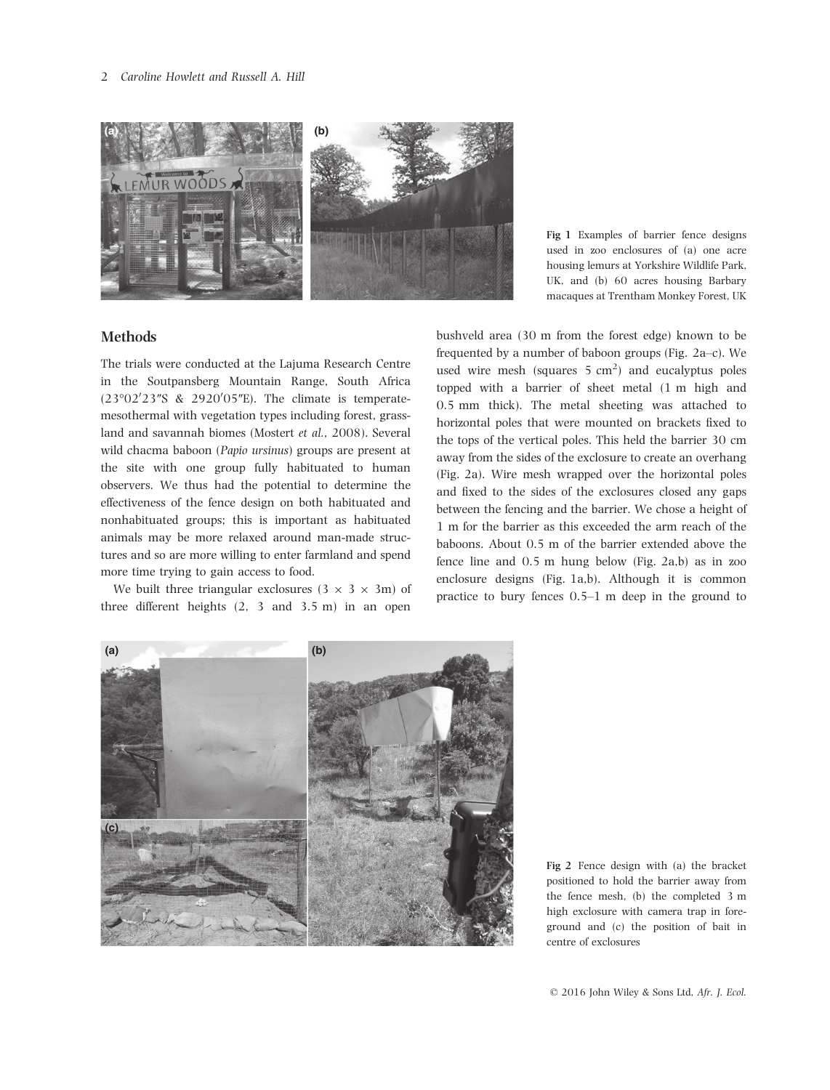

Fig 1 Examples of barrier fence designs used in zoo enclosures of (a) one acre housing lemurs at Yorkshire Wildlife Park, UK, and (b) 60 acres housing Barbary macaques at Trentham Monkey Forest, UK

### Methods

The trials were conducted at the Lajuma Research Centre in the Soutpansberg Mountain Range, South Africa  $(23°02'23''S \& 2920'05''E)$ . The climate is temperatemesothermal with vegetation types including forest, grassland and savannah biomes (Mostert et al., 2008). Several wild chacma baboon (Papio ursinus) groups are present at the site with one group fully habituated to human observers. We thus had the potential to determine the effectiveness of the fence design on both habituated and nonhabituated groups; this is important as habituated animals may be more relaxed around man-made structures and so are more willing to enter farmland and spend more time trying to gain access to food.

We built three triangular exclosures  $(3 \times 3 \times 3m)$  of three different heights (2, 3 and 3.5 m) in an open

bushveld area (30 m from the forest edge) known to be frequented by a number of baboon groups (Fig. 2a–c). We used wire mesh (squares  $5 \text{ cm}^2$ ) and eucalyptus poles topped with a barrier of sheet metal (1 m high and 0.5 mm thick). The metal sheeting was attached to horizontal poles that were mounted on brackets fixed to the tops of the vertical poles. This held the barrier 30 cm away from the sides of the exclosure to create an overhang (Fig. 2a). Wire mesh wrapped over the horizontal poles and fixed to the sides of the exclosures closed any gaps between the fencing and the barrier. We chose a height of 1 m for the barrier as this exceeded the arm reach of the baboons. About 0.5 m of the barrier extended above the fence line and 0.5 m hung below (Fig. 2a,b) as in zoo enclosure designs (Fig. 1a,b). Although it is common practice to bury fences 0.5–1 m deep in the ground to



Fig 2 Fence design with (a) the bracket positioned to hold the barrier away from the fence mesh, (b) the completed 3 m high exclosure with camera trap in foreground and (c) the position of bait in centre of exclosures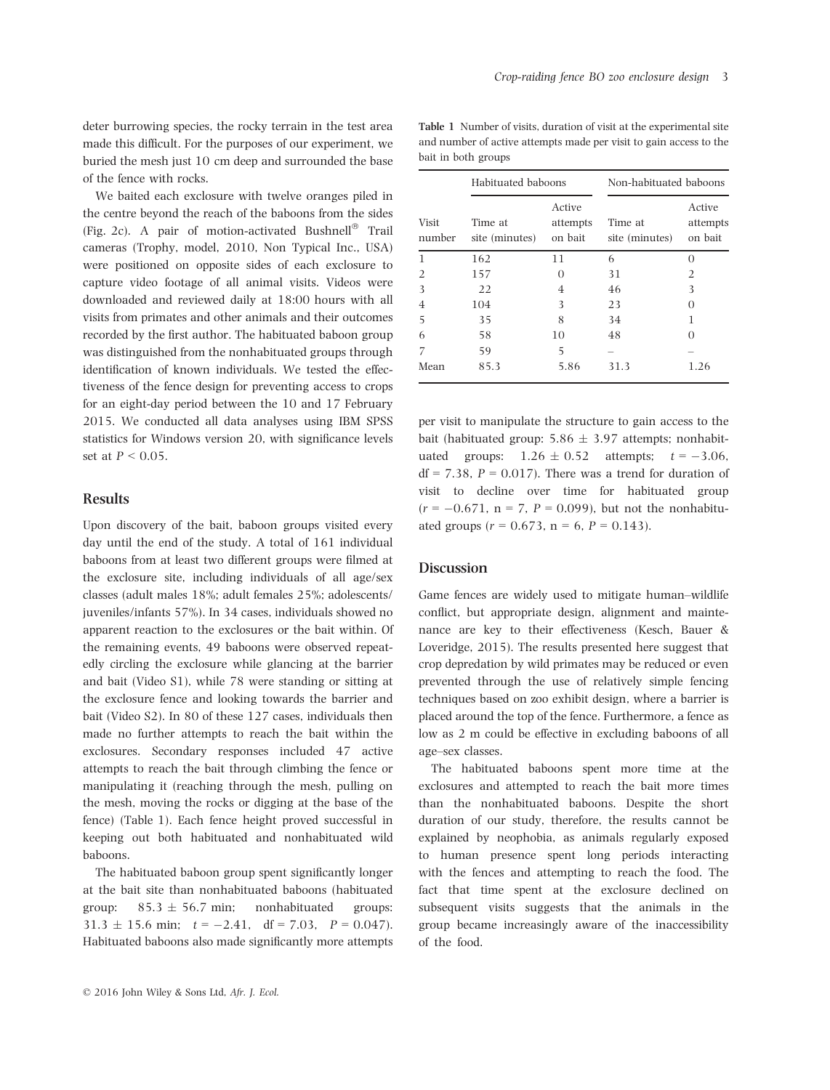deter burrowing species, the rocky terrain in the test area made this difficult. For the purposes of our experiment, we buried the mesh just 10 cm deep and surrounded the base of the fence with rocks.

We baited each exclosure with twelve oranges piled in the centre beyond the reach of the baboons from the sides (Fig. 2c). A pair of motion-activated Bushnell® Trail cameras (Trophy, model, 2010, Non Typical Inc., USA) were positioned on opposite sides of each exclosure to capture video footage of all animal visits. Videos were downloaded and reviewed daily at 18:00 hours with all visits from primates and other animals and their outcomes recorded by the first author. The habituated baboon group was distinguished from the nonhabituated groups through identification of known individuals. We tested the effectiveness of the fence design for preventing access to crops for an eight-day period between the 10 and 17 February 2015. We conducted all data analyses using IBM SPSS statistics for Windows version 20, with significance levels set at  $P \leq 0.05$ .

#### Results

Upon discovery of the bait, baboon groups visited every day until the end of the study. A total of 161 individual baboons from at least two different groups were filmed at the exclosure site, including individuals of all age/sex classes (adult males 18%; adult females 25%; adolescents/ juveniles/infants 57%). In 34 cases, individuals showed no apparent reaction to the exclosures or the bait within. Of the remaining events, 49 baboons were observed repeatedly circling the exclosure while glancing at the barrier and bait (Video S1), while 78 were standing or sitting at the exclosure fence and looking towards the barrier and bait (Video S2). In 80 of these 127 cases, individuals then made no further attempts to reach the bait within the exclosures. Secondary responses included 47 active attempts to reach the bait through climbing the fence or manipulating it (reaching through the mesh, pulling on the mesh, moving the rocks or digging at the base of the fence) (Table 1). Each fence height proved successful in keeping out both habituated and nonhabituated wild baboons.

The habituated baboon group spent significantly longer at the bait site than nonhabituated baboons (habituated group:  $85.3 \pm 56.7$  min; nonhabituated groups:  $31.3 \pm 15.6$  min;  $t = -2.41$ , df = 7.03,  $P = 0.047$ ). Habituated baboons also made significantly more attempts

Table 1 Number of visits, duration of visit at the experimental site and number of active attempts made per visit to gain access to the bait in both groups

| <b>Visit</b><br>number | Habituated baboons        |                               | Non-habituated baboons    |                               |
|------------------------|---------------------------|-------------------------------|---------------------------|-------------------------------|
|                        | Time at<br>site (minutes) | Active<br>attempts<br>on bait | Time at<br>site (minutes) | Active<br>attempts<br>on bait |
| 1                      | 162                       | 11                            | 6                         | $\Omega$                      |
| $\mathfrak{D}$         | 157                       | $\Omega$                      | 31                        | $\overline{2}$                |
| 3                      | 22                        | 4                             | 46                        | 3                             |
| 4                      | 104                       | 3                             | 23                        | $\Omega$                      |
| 5                      | 35                        | 8                             | 34                        | 1                             |
| 6                      | 58                        | 10                            | 48                        | $\Omega$                      |
| 7                      | 59                        | 5                             |                           |                               |
| Mean                   | 85.3                      | 5.86                          | 31.3                      | 1.26                          |

per visit to manipulate the structure to gain access to the bait (habituated group:  $5.86 \pm 3.97$  attempts; nonhabituated groups:  $1.26 \pm 0.52$  attempts;  $t = -3.06$ ,  $df = 7.38$ ,  $P = 0.017$ ). There was a trend for duration of visit to decline over time for habituated group  $(r = -0.671, n = 7, P = 0.099)$ , but not the nonhabituated groups ( $r = 0.673$ ,  $n = 6$ ,  $P = 0.143$ ).

#### Discussion

Game fences are widely used to mitigate human–wildlife conflict, but appropriate design, alignment and maintenance are key to their effectiveness (Kesch, Bauer & Loveridge, 2015). The results presented here suggest that crop depredation by wild primates may be reduced or even prevented through the use of relatively simple fencing techniques based on zoo exhibit design, where a barrier is placed around the top of the fence. Furthermore, a fence as low as 2 m could be effective in excluding baboons of all age–sex classes.

The habituated baboons spent more time at the exclosures and attempted to reach the bait more times than the nonhabituated baboons. Despite the short duration of our study, therefore, the results cannot be explained by neophobia, as animals regularly exposed to human presence spent long periods interacting with the fences and attempting to reach the food. The fact that time spent at the exclosure declined on subsequent visits suggests that the animals in the group became increasingly aware of the inaccessibility of the food.